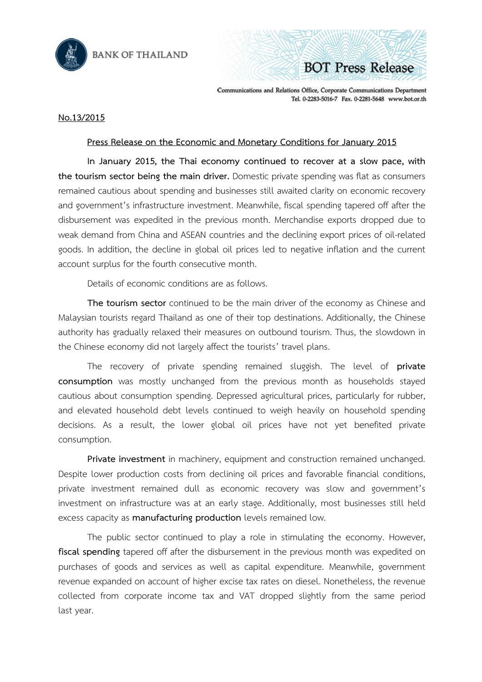



Communications and Relations Office, Corporate Communications Department Tel. 0-2283-5016-7 Fax. 0-2281-5648 www.bot.or.th

## **No.13/2015**

## **Press Release on the Economic and Monetary Conditions for January 2015**

**In January 2015, the Thai economy continued to recover at a slow pace, with the tourism sector being the main driver.** Domestic private spending was flat as consumers remained cautious about spending and businesses still awaited clarity on economic recovery and government's infrastructure investment. Meanwhile, fiscal spending tapered off after the disbursement was expedited in the previous month. Merchandise exports dropped due to weak demand from China and ASEAN countries and the declining export prices of oil-related goods. In addition, the decline in global oil prices led to negative inflation and the current account surplus for the fourth consecutive month.

Details of economic conditions are as follows.

**The tourism sector** continued to be the main driver of the economy as Chinese and Malaysian tourists regard Thailand as one of their top destinations. Additionally, the Chinese authority has gradually relaxed their measures on outbound tourism. Thus, the slowdown in the Chinese economy did not largely affect the tourists' travel plans.

The recovery of private spending remained sluggish. The level of **private consumption** was mostly unchanged from the previous month as households stayed cautious about consumption spending. Depressed agricultural prices, particularly for rubber, and elevated household debt levels continued to weigh heavily on household spending decisions. As a result, the lower global oil prices have not yet benefited private consumption.

**Private investment** in machinery, equipment and construction remained unchanged. Despite lower production costs from declining oil prices and favorable financial conditions, private investment remained dull as economic recovery was slow and government's investment on infrastructure was at an early stage. Additionally, most businesses still held excess capacity as **manufacturing production** levels remained low.

The public sector continued to play a role in stimulating the economy. However, **fiscal spending** tapered off after the disbursement in the previous month was expedited on purchases of goods and services as well as capital expenditure. Meanwhile, government revenue expanded on account of higher excise tax rates on diesel. Nonetheless, the revenue collected from corporate income tax and VAT dropped slightly from the same period last year.